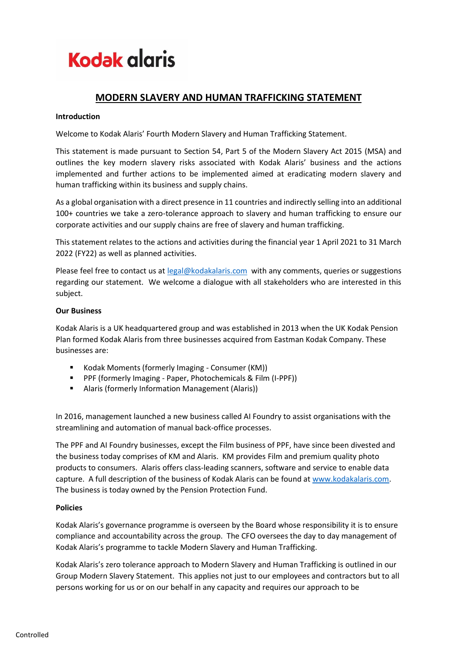# **Kodak alaris**

# **MODERN SLAVERY AND HUMAN TRAFFICKING STATEMENT**

#### **Introduction**

Welcome to Kodak Alaris' Fourth Modern Slavery and Human Trafficking Statement.

This statement is made pursuant to Section 54, Part 5 of the Modern Slavery Act 2015 (MSA) and outlines the key modern slavery risks associated with Kodak Alaris' business and the actions implemented and further actions to be implemented aimed at eradicating modern slavery and human trafficking within its business and supply chains.

As a global organisation with a direct presence in 11 countries and indirectly selling into an additional 100+ countries we take a zero-tolerance approach to slavery and human trafficking to ensure our corporate activities and our supply chains are free of slavery and human trafficking.

This statement relates to the actions and activities during the financial year 1 April 2021 to 31 March 2022 (FY22) as well as planned activities.

Please feel free to contact us at [legal@kodakalaris.com](mailto:legal@kodakalaris.com) with any comments, queries or suggestions regarding our statement. We welcome a dialogue with all stakeholders who are interested in this subject.

#### **Our Business**

Kodak Alaris is a UK headquartered group and was established in 2013 when the UK Kodak Pension Plan formed Kodak Alaris from three businesses acquired from Eastman Kodak Company. These businesses are:

- Kodak Moments (formerly Imaging Consumer (KM))
- PPF (formerly Imaging Paper, Photochemicals & Film (I-PPF))
- Alaris (formerly Information Management (Alaris))

In 2016, management launched a new business called AI Foundry to assist organisations with the streamlining and automation of manual back-office processes.

The PPF and AI Foundry businesses, except the Film business of PPF, have since been divested and the business today comprises of KM and Alaris. KM provides Film and premium quality photo products to consumers. Alaris offers class-leading scanners, software and service to enable data capture. A full description of the business of Kodak Alaris can be found a[t www.kodakalaris.com.](http://www.kodakalaris.com/) The business is today owned by the Pension Protection Fund.

#### **Policies**

Kodak Alaris's governance programme is overseen by the Board whose responsibility it is to ensure compliance and accountability across the group. The CFO oversees the day to day management of Kodak Alaris's programme to tackle Modern Slavery and Human Trafficking.

Kodak Alaris's zero tolerance approach to Modern Slavery and Human Trafficking is outlined in our Group Modern Slavery Statement. This applies not just to our employees and contractors but to all persons working for us or on our behalf in any capacity and requires our approach to be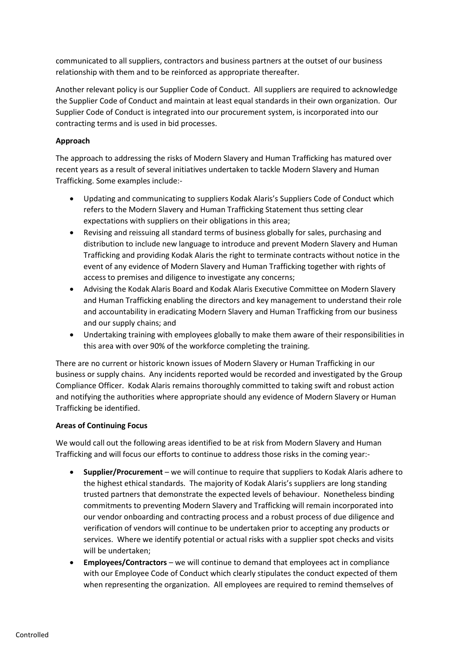communicated to all suppliers, contractors and business partners at the outset of our business relationship with them and to be reinforced as appropriate thereafter.

Another relevant policy is our Supplier Code of Conduct. All suppliers are required to acknowledge the Supplier Code of Conduct and maintain at least equal standards in their own organization. Our Supplier Code of Conduct is integrated into our procurement system, is incorporated into our contracting terms and is used in bid processes.

## **Approach**

The approach to addressing the risks of Modern Slavery and Human Trafficking has matured over recent years as a result of several initiatives undertaken to tackle Modern Slavery and Human Trafficking. Some examples include:-

- Updating and communicating to suppliers Kodak Alaris's Suppliers Code of Conduct which refers to the Modern Slavery and Human Trafficking Statement thus setting clear expectations with suppliers on their obligations in this area;
- Revising and reissuing all standard terms of business globally for sales, purchasing and distribution to include new language to introduce and prevent Modern Slavery and Human Trafficking and providing Kodak Alaris the right to terminate contracts without notice in the event of any evidence of Modern Slavery and Human Trafficking together with rights of access to premises and diligence to investigate any concerns;
- Advising the Kodak Alaris Board and Kodak Alaris Executive Committee on Modern Slavery and Human Trafficking enabling the directors and key management to understand their role and accountability in eradicating Modern Slavery and Human Trafficking from our business and our supply chains; and
- Undertaking training with employees globally to make them aware of their responsibilities in this area with over 90% of the workforce completing the training.

There are no current or historic known issues of Modern Slavery or Human Trafficking in our business or supply chains. Any incidents reported would be recorded and investigated by the Group Compliance Officer. Kodak Alaris remains thoroughly committed to taking swift and robust action and notifying the authorities where appropriate should any evidence of Modern Slavery or Human Trafficking be identified.

## **Areas of Continuing Focus**

We would call out the following areas identified to be at risk from Modern Slavery and Human Trafficking and will focus our efforts to continue to address those risks in the coming year:-

- **Supplier/Procurement** we will continue to require that suppliers to Kodak Alaris adhere to the highest ethical standards. The majority of Kodak Alaris's suppliers are long standing trusted partners that demonstrate the expected levels of behaviour. Nonetheless binding commitments to preventing Modern Slavery and Trafficking will remain incorporated into our vendor onboarding and contracting process and a robust process of due diligence and verification of vendors will continue to be undertaken prior to accepting any products or services. Where we identify potential or actual risks with a supplier spot checks and visits will be undertaken;
- **Employees/Contractors**  we will continue to demand that employees act in compliance with our Employee Code of Conduct which clearly stipulates the conduct expected of them when representing the organization. All employees are required to remind themselves of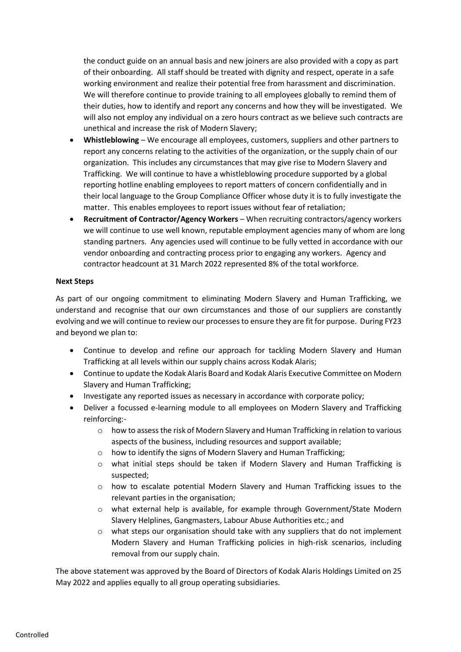the conduct guide on an annual basis and new joiners are also provided with a copy as part of their onboarding. All staff should be treated with dignity and respect, operate in a safe working environment and realize their potential free from harassment and discrimination. We will therefore continue to provide training to all employees globally to remind them of their duties, how to identify and report any concerns and how they will be investigated. We will also not employ any individual on a zero hours contract as we believe such contracts are unethical and increase the risk of Modern Slavery;

- **Whistleblowing**  We encourage all employees, customers, suppliers and other partners to report any concerns relating to the activities of the organization, or the supply chain of our organization. This includes any circumstances that may give rise to Modern Slavery and Trafficking. We will continue to have a whistleblowing procedure supported by a global reporting hotline enabling employees to report matters of concern confidentially and in their local language to the Group Compliance Officer whose duty it is to fully investigate the matter. This enables employees to report issues without fear of retaliation;
- **Recruitment of Contractor/Agency Workers**  When recruiting contractors/agency workers we will continue to use well known, reputable employment agencies many of whom are long standing partners. Any agencies used will continue to be fully vetted in accordance with our vendor onboarding and contracting process prior to engaging any workers. Agency and contractor headcount at 31 March 2022 represented 8% of the total workforce.

#### **Next Steps**

As part of our ongoing commitment to eliminating Modern Slavery and Human Trafficking, we understand and recognise that our own circumstances and those of our suppliers are constantly evolving and we will continue to review our processes to ensure they are fit for purpose. During FY23 and beyond we plan to:

- Continue to develop and refine our approach for tackling Modern Slavery and Human Trafficking at all levels within our supply chains across Kodak Alaris;
- Continue to update the Kodak Alaris Board and Kodak Alaris Executive Committee on Modern Slavery and Human Trafficking;
- Investigate any reported issues as necessary in accordance with corporate policy;
- Deliver a focussed e-learning module to all employees on Modern Slavery and Trafficking reinforcing:-
	- $\circ$  how to assess the risk of Modern Slavery and Human Trafficking in relation to various aspects of the business, including resources and support available;
	- o how to identify the signs of Modern Slavery and Human Trafficking;
	- o what initial steps should be taken if Modern Slavery and Human Trafficking is suspected;
	- o how to escalate potential Modern Slavery and Human Trafficking issues to the relevant parties in the organisation;
	- o what external help is available, for example through Government/State Modern Slavery Helplines, Gangmasters, Labour Abuse Authorities etc.; and
	- o what steps our organisation should take with any suppliers that do not implement Modern Slavery and Human Trafficking policies in high-risk scenarios, including removal from our supply chain.

The above statement was approved by the Board of Directors of Kodak Alaris Holdings Limited on 25 May 2022 and applies equally to all group operating subsidiaries.